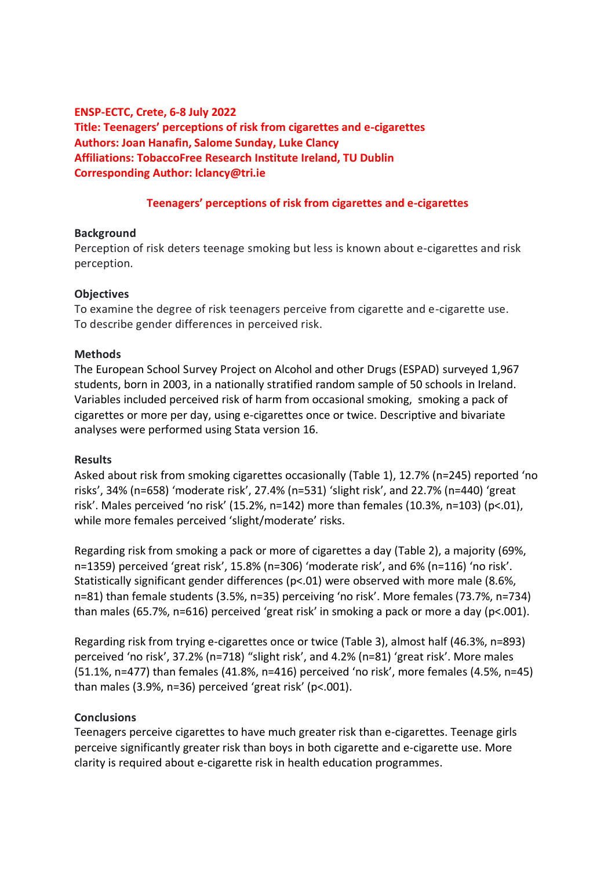# **ENSP-ECTC, Crete, 6-8 July 2022 Title: Teenagers' perceptions of risk from cigarettes and e-cigarettes Authors: Joan Hanafin, Salome Sunday, Luke Clancy Affiliations: TobaccoFree Research Institute Ireland, TU Dublin Corresponding Author: lclancy@tri.ie**

## **Teenagers' perceptions of risk from cigarettes and e-cigarettes**

## **Background**

Perception of risk deters teenage smoking but less is known about e-cigarettes and risk perception.

## **Objectives**

To examine the degree of risk teenagers perceive from cigarette and e-cigarette use. To describe gender differences in perceived risk.

#### **Methods**

The European School Survey Project on Alcohol and other Drugs (ESPAD) surveyed 1,967 students, born in 2003, in a nationally stratified random sample of 50 schools in Ireland. Variables included perceived risk of harm from occasional smoking, smoking a pack of cigarettes or more per day, using e-cigarettes once or twice. Descriptive and bivariate analyses were performed using Stata version 16.

## **Results**

Asked about risk from smoking cigarettes occasionally (Table 1), 12.7% (n=245) reported 'no risks', 34% (n=658) 'moderate risk', 27.4% (n=531) 'slight risk', and 22.7% (n=440) 'great risk'. Males perceived 'no risk' (15.2%, n=142) more than females (10.3%, n=103) (p<.01), while more females perceived 'slight/moderate' risks.

Regarding risk from smoking a pack or more of cigarettes a day (Table 2), a majority (69%, n=1359) perceived 'great risk', 15.8% (n=306) 'moderate risk', and 6% (n=116) 'no risk'. Statistically significant gender differences (p<.01) were observed with more male (8.6%, n=81) than female students (3.5%, n=35) perceiving 'no risk'. More females (73.7%, n=734) than males (65.7%, n=616) perceived 'great risk' in smoking a pack or more a day (p<.001).

Regarding risk from trying e-cigarettes once or twice (Table 3), almost half (46.3%, n=893) perceived 'no risk', 37.2% (n=718) "slight risk', and 4.2% (n=81) 'great risk'. More males (51.1%, n=477) than females (41.8%, n=416) perceived 'no risk', more females (4.5%, n=45) than males (3.9%, n=36) perceived 'great risk' (p<.001).

## **Conclusions**

Teenagers perceive cigarettes to have much greater risk than e-cigarettes. Teenage girls perceive significantly greater risk than boys in both cigarette and e-cigarette use. More clarity is required about e-cigarette risk in health education programmes.